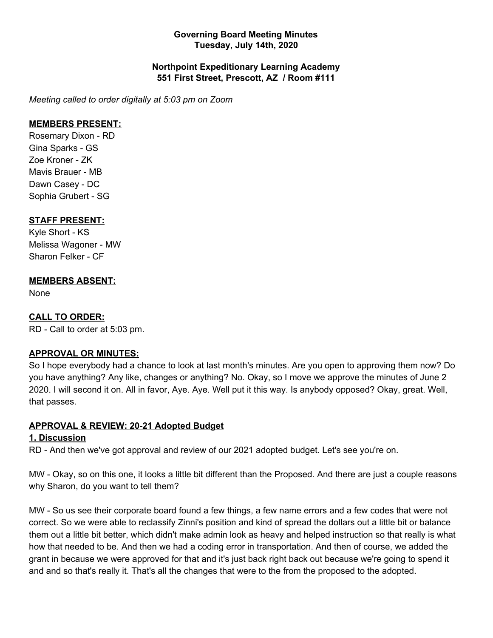#### **Governing Board Meeting Minutes Tuesday, July 14th, 2020**

#### **Northpoint Expeditionary Learning Academy 551 First Street, Prescott, AZ / Room #111**

*Meeting called to order digitally at 5:03 pm on Zoom*

#### **MEMBERS PRESENT:**

Rosemary Dixon - RD Gina Sparks - GS Zoe Kroner - ZK Mavis Brauer - MB Dawn Casey - DC Sophia Grubert - SG

#### **STAFF PRESENT:**

Kyle Short - KS Melissa Wagoner - MW Sharon Felker - CF

## **MEMBERS ABSENT:**

None

## **CALL TO ORDER:**

RD - Call to order at 5:03 pm.

#### **APPROVAL OR MINUTES:**

So I hope everybody had a chance to look at last month's minutes. Are you open to approving them now? Do you have anything? Any like, changes or anything? No. Okay, so I move we approve the minutes of June 2 2020. I will second it on. All in favor, Aye. Aye. Well put it this way. Is anybody opposed? Okay, great. Well, that passes.

## **APPROVAL & REVIEW: 20-21 Adopted Budget**

## **1. Discussion**

RD - And then we've got approval and review of our 2021 adopted budget. Let's see you're on.

MW - Okay, so on this one, it looks a little bit different than the Proposed. And there are just a couple reasons why Sharon, do you want to tell them?

MW - So us see their corporate board found a few things, a few name errors and a few codes that were not correct. So we were able to reclassify Zinni's position and kind of spread the dollars out a little bit or balance them out a little bit better, which didn't make admin look as heavy and helped instruction so that really is what how that needed to be. And then we had a coding error in transportation. And then of course, we added the grant in because we were approved for that and it's just back right back out because we're going to spend it and and so that's really it. That's all the changes that were to the from the proposed to the adopted.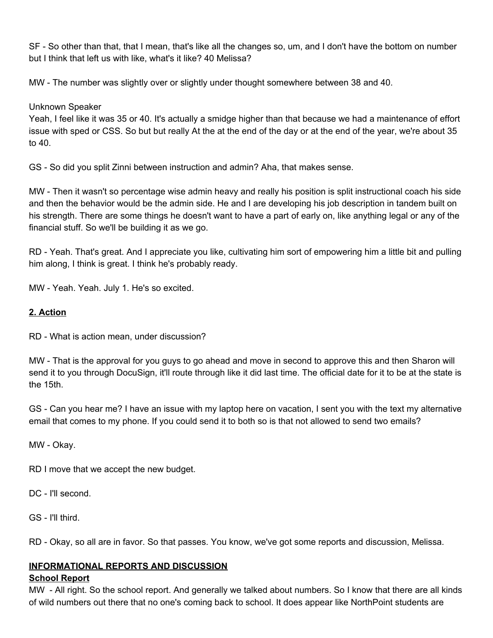SF - So other than that, that I mean, that's like all the changes so, um, and I don't have the bottom on number but I think that left us with like, what's it like? 40 Melissa?

MW - The number was slightly over or slightly under thought somewhere between 38 and 40.

## Unknown Speaker

Yeah, I feel like it was 35 or 40. It's actually a smidge higher than that because we had a maintenance of effort issue with sped or CSS. So but but really At the at the end of the day or at the end of the year, we're about 35 to 40.

GS - So did you split Zinni between instruction and admin? Aha, that makes sense.

MW - Then it wasn't so percentage wise admin heavy and really his position is split instructional coach his side and then the behavior would be the admin side. He and I are developing his job description in tandem built on his strength. There are some things he doesn't want to have a part of early on, like anything legal or any of the financial stuff. So we'll be building it as we go.

RD - Yeah. That's great. And I appreciate you like, cultivating him sort of empowering him a little bit and pulling him along, I think is great. I think he's probably ready.

MW - Yeah. Yeah. July 1. He's so excited.

## **2. Action**

RD - What is action mean, under discussion?

MW - That is the approval for you guys to go ahead and move in second to approve this and then Sharon will send it to you through DocuSign, it'll route through like it did last time. The official date for it to be at the state is the 15th.

GS - Can you hear me? I have an issue with my laptop here on vacation, I sent you with the text my alternative email that comes to my phone. If you could send it to both so is that not allowed to send two emails?

MW - Okay.

RD I move that we accept the new budget.

DC - I'll second.

GS - I'll third.

RD - Okay, so all are in favor. So that passes. You know, we've got some reports and discussion, Melissa.

## **INFORMATIONAL REPORTS AND DISCUSSION**

## **School Report**

MW - All right. So the school report. And generally we talked about numbers. So I know that there are all kinds of wild numbers out there that no one's coming back to school. It does appear like NorthPoint students are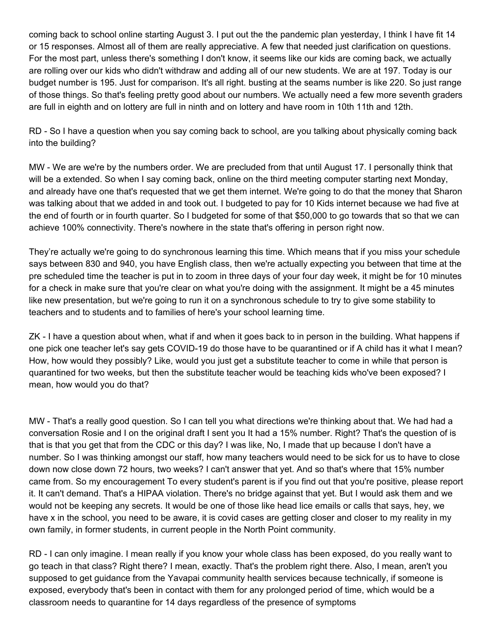coming back to school online starting August 3. I put out the the pandemic plan yesterday, I think I have fit 14 or 15 responses. Almost all of them are really appreciative. A few that needed just clarification on questions. For the most part, unless there's something I don't know, it seems like our kids are coming back, we actually are rolling over our kids who didn't withdraw and adding all of our new students. We are at 197. Today is our budget number is 195. Just for comparison. It's all right. busting at the seams number is like 220. So just range of those things. So that's feeling pretty good about our numbers. We actually need a few more seventh graders are full in eighth and on lottery are full in ninth and on lottery and have room in 10th 11th and 12th.

RD - So I have a question when you say coming back to school, are you talking about physically coming back into the building?

MW - We are we're by the numbers order. We are precluded from that until August 17. I personally think that will be a extended. So when I say coming back, online on the third meeting computer starting next Monday, and already have one that's requested that we get them internet. We're going to do that the money that Sharon was talking about that we added in and took out. I budgeted to pay for 10 Kids internet because we had five at the end of fourth or in fourth quarter. So I budgeted for some of that \$50,000 to go towards that so that we can achieve 100% connectivity. There's nowhere in the state that's offering in person right now.

They're actually we're going to do synchronous learning this time. Which means that if you miss your schedule says between 830 and 940, you have English class, then we're actually expecting you between that time at the pre scheduled time the teacher is put in to zoom in three days of your four day week, it might be for 10 minutes for a check in make sure that you're clear on what you're doing with the assignment. It might be a 45 minutes like new presentation, but we're going to run it on a synchronous schedule to try to give some stability to teachers and to students and to families of here's your school learning time.

ZK - I have a question about when, what if and when it goes back to in person in the building. What happens if one pick one teacher let's say gets COVID-19 do those have to be quarantined or if A child has it what I mean? How, how would they possibly? Like, would you just get a substitute teacher to come in while that person is quarantined for two weeks, but then the substitute teacher would be teaching kids who've been exposed? I mean, how would you do that?

MW - That's a really good question. So I can tell you what directions we're thinking about that. We had had a conversation Rosie and I on the original draft I sent you It had a 15% number. Right? That's the question of is that is that you get that from the CDC or this day? I was like, No, I made that up because I don't have a number. So I was thinking amongst our staff, how many teachers would need to be sick for us to have to close down now close down 72 hours, two weeks? I can't answer that yet. And so that's where that 15% number came from. So my encouragement To every student's parent is if you find out that you're positive, please report it. It can't demand. That's a HIPAA violation. There's no bridge against that yet. But I would ask them and we would not be keeping any secrets. It would be one of those like head lice emails or calls that says, hey, we have x in the school, you need to be aware, it is covid cases are getting closer and closer to my reality in my own family, in former students, in current people in the North Point community.

RD - I can only imagine. I mean really if you know your whole class has been exposed, do you really want to go teach in that class? Right there? I mean, exactly. That's the problem right there. Also, I mean, aren't you supposed to get guidance from the Yavapai community health services because technically, if someone is exposed, everybody that's been in contact with them for any prolonged period of time, which would be a classroom needs to quarantine for 14 days regardless of the presence of symptoms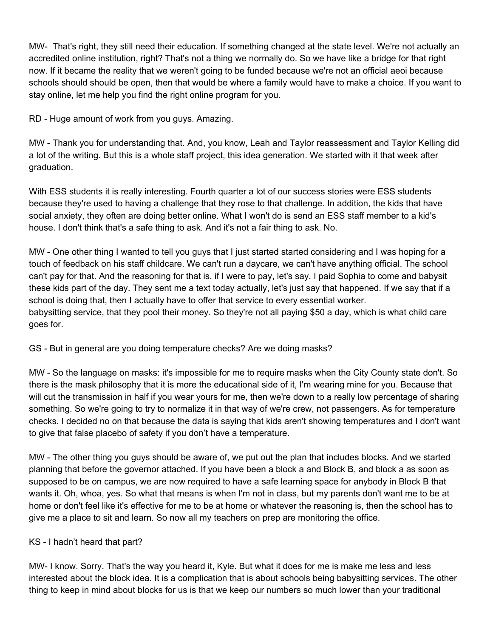MW- That's right, they still need their education. If something changed at the state level. We're not actually an accredited online institution, right? That's not a thing we normally do. So we have like a bridge for that right now. If it became the reality that we weren't going to be funded because we're not an official aeoi because schools should should be open, then that would be where a family would have to make a choice. If you want to stay online, let me help you find the right online program for you.

RD - Huge amount of work from you guys. Amazing.

MW - Thank you for understanding that. And, you know, Leah and Taylor reassessment and Taylor Kelling did a lot of the writing. But this is a whole staff project, this idea generation. We started with it that week after graduation.

With ESS students it is really interesting. Fourth quarter a lot of our success stories were ESS students because they're used to having a challenge that they rose to that challenge. In addition, the kids that have social anxiety, they often are doing better online. What I won't do is send an ESS staff member to a kid's house. I don't think that's a safe thing to ask. And it's not a fair thing to ask. No.

MW - One other thing I wanted to tell you guys that I just started started considering and I was hoping for a touch of feedback on his staff childcare. We can't run a daycare, we can't have anything official. The school can't pay for that. And the reasoning for that is, if I were to pay, let's say, I paid Sophia to come and babysit these kids part of the day. They sent me a text today actually, let's just say that happened. If we say that if a school is doing that, then I actually have to offer that service to every essential worker. babysitting service, that they pool their money. So they're not all paying \$50 a day, which is what child care goes for.

GS - But in general are you doing temperature checks? Are we doing masks?

MW - So the language on masks: it's impossible for me to require masks when the City County state don't. So there is the mask philosophy that it is more the educational side of it, I'm wearing mine for you. Because that will cut the transmission in half if you wear yours for me, then we're down to a really low percentage of sharing something. So we're going to try to normalize it in that way of we're crew, not passengers. As for temperature checks. I decided no on that because the data is saying that kids aren't showing temperatures and I don't want to give that false placebo of safety if you don't have a temperature.

MW - The other thing you guys should be aware of, we put out the plan that includes blocks. And we started planning that before the governor attached. If you have been a block a and Block B, and block a as soon as supposed to be on campus, we are now required to have a safe learning space for anybody in Block B that wants it. Oh, whoa, yes. So what that means is when I'm not in class, but my parents don't want me to be at home or don't feel like it's effective for me to be at home or whatever the reasoning is, then the school has to give me a place to sit and learn. So now all my teachers on prep are monitoring the office.

#### KS - I hadn't heard that part?

MW- I know. Sorry. That's the way you heard it, Kyle. But what it does for me is make me less and less interested about the block idea. It is a complication that is about schools being babysitting services. The other thing to keep in mind about blocks for us is that we keep our numbers so much lower than your traditional